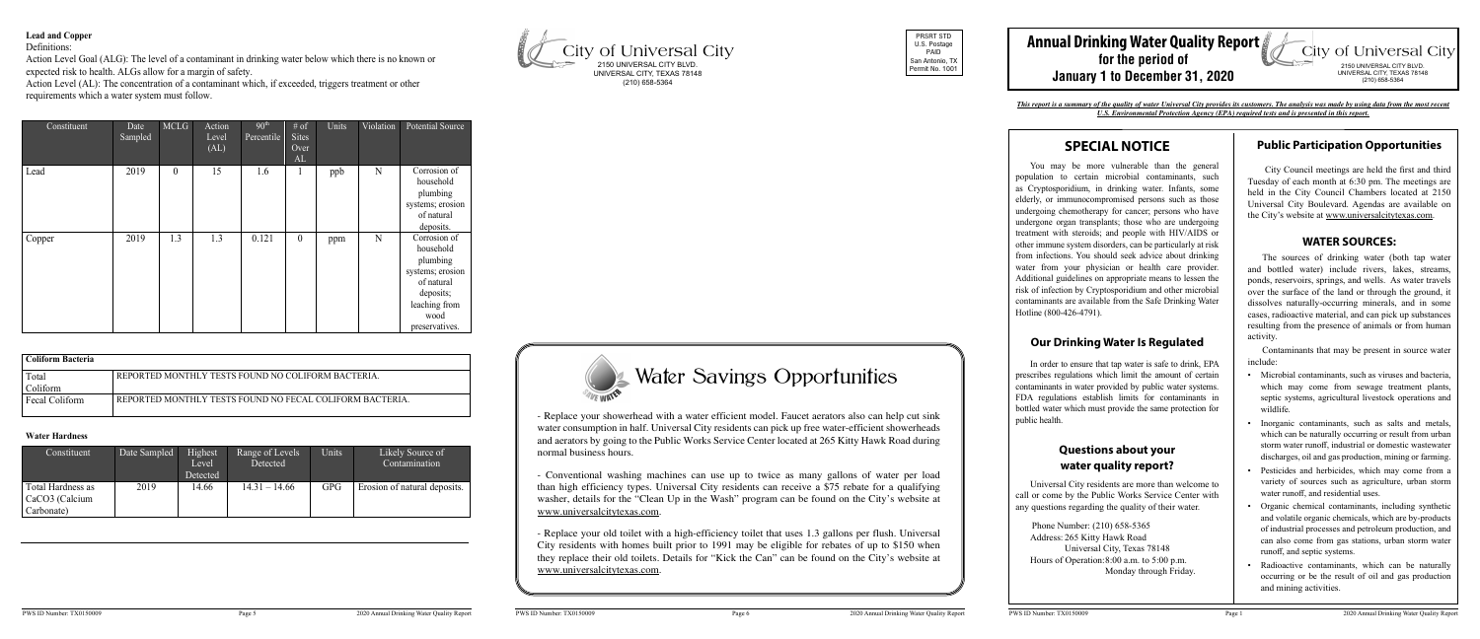| Constituent                                       | Date Sampled | Highest<br>Level<br>Detected | Range of Levels<br>Detected | Units      | Likely Source of<br>Contamination |
|---------------------------------------------------|--------------|------------------------------|-----------------------------|------------|-----------------------------------|
| Total Hardness as<br>CaCO3 (Calcium<br>Carbonate) | 2019         | 14.66                        | $14.31 - 14.66$             | <b>GPG</b> | Erosion of natural deposits.      |

| Constituent | Date<br>Sampled | <b>MCLG</b>      | Action<br>Level<br>(AL) | 90 <sup>th</sup><br>Percentile | # of<br><b>Sites</b><br>Over<br>AL | Units | Violation | <b>Potential Source</b>                                                                                                         |
|-------------|-----------------|------------------|-------------------------|--------------------------------|------------------------------------|-------|-----------|---------------------------------------------------------------------------------------------------------------------------------|
| Lead        | 2019            | $\boldsymbol{0}$ | 15                      | 1.6                            | 1                                  | ppb   | N         | Corrosion of<br>household<br>plumbing<br>systems; erosion<br>of natural<br>deposits.                                            |
| Copper      | 2019            | 1.3              | 1.3                     | 0.121                          | $\theta$                           | ppm   | N         | Corrosion of<br>household<br>plumbing<br>systems; erosion<br>of natural<br>deposits;<br>leaching from<br>wood<br>preservatives. |

#### **Lead and Copper**

Definitions:

Action Level Goal (ALG): The level of a contaminant in drinking water below which there is no known or expected risk to health. ALGs allow for a margin of safety.

| Coliform Bacteria |                                                          |
|-------------------|----------------------------------------------------------|
| Total             | REPORTED MONTHLY TESTS FOUND NO COLIFORM BACTERIA.       |
| Coliform          |                                                          |
| Fecal Coliform    | REPORTED MONTHLY TESTS FOUND NO FECAL COLIFORM BACTERIA. |
|                   |                                                          |

# Water Hardness

Action Level (AL): The concentration of a contaminant which, if exceeded, triggers treatment or other requirements which a water system must follow.

CaCO3 (Calcium

# **SPECIAL NOTICE**

You may be more vulnerable than the general population to certain microbial contaminants, such as Cryptosporidium, in drinking water. Infants, some elderly, or immunocompromised persons such as those undergoing chemotherapy for cancer; persons who have undergone organ transplants; those who are undergoing treatment with steroids; and people with HIV/AIDS or other immune system disorders, can be particularly at risk from infections. You should seek advice about drinking water from your physician or health care provider. Additional guidelines on appropriate means to lessen the risk of infection by Cryptosporidium and other microbial contaminants are available from the Safe Drinking Water Hotline (800-426-4791).

#### **Our Drinking Water Is Regulated**

In order to ensure that tap water is safe to drink, EPA prescribes regulations which limit the amount of certain contaminants in water provided by public water systems. FDA regulations establish limits for contaminants in bottled water which must provide the same protection for public health.

#### **Questions about your water quality report?**

Universal City residents are more than welcome to call or come by the Public Works Service Center with any questions regarding the quality of their water.

 Phone Number: (210) 658-5365 Address: 265 Kitty Hawk Road Universal City, Texas 78148 Hours of Operation:8:00 a.m. to 5:00 p.m. Monday through Friday.

## **Public Participation Opportunities**

 City Council meetings are held the first and third Tuesday of each month at 6:30 pm. The meetings are held in the City Council Chambers located at 2150 Universal City Boulevard. Agendas are available on the City's website at www.universalcitytexas.com.

#### **WATER SOURCES:**

#### **Annual Drinking Water Quality Report** City of Universal City **for the period of** 2150 UNIVERSAL CITY BLVD. UNIVERSAL CITY, TEXAS 78148 **January 1 to December 31, 2020** (210) 658-5364

The sources of drinking water (both tap water and bottled water) include rivers, lakes, streams, ponds, reservoirs, springs, and wells. As water travels over the surface of the land or through the ground, it dissolves naturally-occurring minerals, and in some cases, radioactive material, and can pick up substances resulting from the presence of animals or from human activity.

Contaminants that may be present in source water include:

- Microbial contaminants, such as viruses and bacteria, which may come from sewage treatment plants, septic systems, agricultural livestock operations and wildlife.
- Inorganic contaminants, such as salts and metals, which can be naturally occurring or result from urban storm water runoff, industrial or domestic wastewater discharges, oil and gas production, mining or farming.
- Pesticides and herbicides, which may come from a variety of sources such as agriculture, urban storm water runoff, and residential uses.
- Organic chemical contaminants, including synthetic and volatile organic chemicals, which are by-products of industrial processes and petroleum production, and can also come from gas stations, urban storm water runoff, and septic systems.
- Radioactive contaminants, which can be naturally occurring or be the result of oil and gas production and mining activities.

# **Water Savings Opportunities**



PRSRT STD U.S. Postage PAID San Antonio, TX Permit No. 1001





*This report is a summary of the quality of water Universal City provides its customers. The analysis was made by using data from the most recent U.S. Environmental Protection Agency (EPA) required tests and is presented in this report.*

- Replace your showerhead with a water efficient model. Faucet aerators also can help cut sink water consumption in half. Universal City residents can pick up free water-efficient showerheads and aerators by going to the Public Works Service Center located at 265 Kitty Hawk Road during normal business hours.

- Conventional washing machines can use up to twice as many gallons of water per load than high efficiency types. Universal City residents can receive a \$75 rebate for a qualifying washer, details for the "Clean Up in the Wash" program can be found on the City's website at www.universalcitytexas.com.

- Replace your old toilet with a high-efficiency toilet that uses 1.3 gallons per flush. Universal City residents with homes built prior to 1991 may be eligible for rebates of up to \$150 when they replace their old toilets. Details for "Kick the Can" can be found on the City's website at www.universalcitytexas.com.